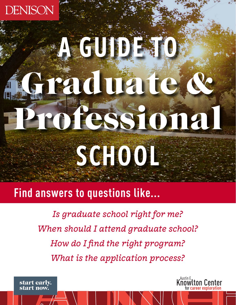

# AGUDE TO raduate ofessiona SCHOOL

# **Find answers to questions like...**

*Is graduate school right for me? When should I attend graduate school? How do I find the right program? What is the application process?*

start early. start now.

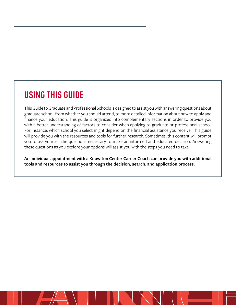# **USING THIS GUIDE**

This Guide to Graduate and Professional Schools is designed to assist you with answering questions about graduate school, from whether you should attend, to more detailed information about how to apply and finance your education. This guide is organized into complementary sections in order to provide you with a better understanding of factors to consider when applying to graduate or professional school. For instance, which school you select might depend on the financial assistance you receive. This guide will provide you with the resources and tools for further research. Sometimes, this content will prompt you to ask yourself the questions necessary to make an informed and educated decision. Answering these questions as you explore your options will assist you with the steps you need to take.

**An individual appointment with a Knowlton Center Career Coach can provide you with additional tools and resources to assist you through the decision, search, and application process.**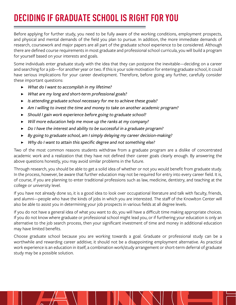# **DECIDING IF GRADUATE SCHOOL IS RIGHT FOR YOU**

Before applying for further study, you need to be fully aware of the working conditions, employment prospects, and physical and mental demands of the field you plan to pursue. In addition, the more immediate demands of research, coursework and major papers are all part of the graduate school experience to be considered. Although there are defined course requirements in most graduate and professional school curricula, you will build a program for yourself based on your interests and goals.

Some individuals enter graduate study with the idea that they can postpone the inevitable—deciding on a career and searching for a job—for another year or two. If this is your sole motivation for entering graduate school, it could have serious implications for your career development. Therefore, before going any further, carefully consider these important questions:

- ▶ *What do I want to accomplish in my lifetime?*
- ▶ *What are my long and short-term professional goals?*
- ▶ *Is attending graduate school necessary for me to achieve these goals?*
- ▶ *Am I willing to invest the time and money to take on another academic program?*
- ▶ *Should I gain work experience before going to graduate school?*
- ▶ *Will more education help me move up the ranks at my company?*
- ▶ *Do I have the interest and ability to be successful in a graduate program?*
- ▶ *By going to graduate school, am I simply delaying my career decision-making?*
- ▶ *Why do I want to attain this specific degree and not something else?*

Two of the most common reasons students withdraw from a graduate program are a dislike of concentrated academic work and a realization that they have not defined their career goals clearly enough. By answering the above questions honestly, you may avoid similar problems in the future.

Through research, you should be able to get a solid idea of whether or not you would benefit from graduate study. In the process, however, be aware that further education may not be required for entry into every career field. It is, of course, if you are planning to enter traditional professions such as law, medicine, dentistry, and teaching at the college or university level.

If you have not already done so, it is a good idea to look over occupational literature and talk with faculty, friends, and alumni—people who have the kinds of jobs in which you are interested. The staff of the Knowlton Center will also be able to assist you in determining your job prospects in various fields at all degree levels.

If you do not have a general idea of what you want to do, you will have a difficult time making appropriate choices. If you do not know where graduate or professional school might lead you, or if furthering your education is only an alternative to the job search process, then your significant investment of time and money in additional education may have limited benefits.

Choose graduate school because you are working towards a goal. Graduate or professional study can be a worthwhile and rewarding career additive; it should not be a disappointing employment alternative. As practical work experience is an education in itself, a combination work/study arrangement or short-term deferral of graduate study may be a possible solution.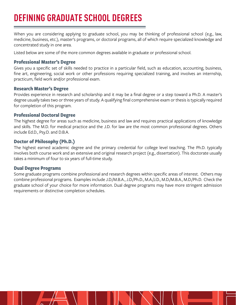# **DEFINING GRADUATE SCHOOL DEGREES**

When you are considering applying to graduate school, you may be thinking of professional school (e.g., law, medicine, business, etc.), master's programs, or doctoral programs, all of which require specialized knowledge and concentrated study in one area.

Listed below are some of the more common degrees available in graduate or professional school.

#### **Professional Master's Degree**

Gives you a specific set of skills needed to practice in a particular field, such as education, accounting, business, fine art, engineering, social work or other professions requiring specialized training, and involves an internship, practicum, field work and/or professional exam.

#### **Research Master's Degree**

Provides experience in research and scholarship and it may be a final degree or a step toward a Ph.D. A master's degree usually takes two or three years of study. A qualifying final comprehensive exam or thesis is typically required for completion of this program.

#### **Professional Doctoral Degree**

The highest degree for areas such as medicine, business and law and requires practical applications of knowledge and skills. The M.D. for medical practice and the J.D. for law are the most common professional degrees. Others include Ed.D., Psy.D. and D.B.A.

#### **Doctor of Philosophy (Ph.D.)**

The highest earned academic degree and the primary credential for college level teaching. The Ph.D. typically involves both course work and an extensive and original research project (e.g., dissertation). This doctorate usually takes a minimum of four to six years of full-time study.

#### **Dual Degree Programs**

Some graduate programs combine professional and research degrees within specific areas of interest. Others may combine professional programs. Examples include J.D./M.B.A., J.D./Ph.D., M.A./J.D., M.D./M.B.A., M.D./Ph.D. Check the graduate school of your choice for more information. Dual degree programs may have more stringent admission requirements or distinctive completion schedules.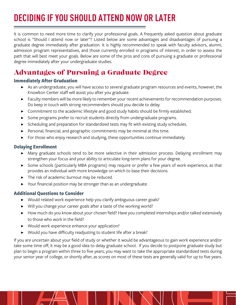# **DECIDING IF YOU SHOULD ATTEND NOW OR LATER**

It is common to need more time to clarify your professional goals. A frequently asked question about graduate school is "Should I attend now or later"? Listed below are some advantages and disadvantages of pursuing a graduate degree immediately after graduation. It is highly recommended to speak with faculty advisors, alumni, admission program representatives, and those currently enrolled in programs of interest, in order to assess the path that will best meet your goals. Below are some of the pros and cons of pursuing a graduate or professional degree immediately after your undergraduate studies.

# Advantages of Pursuing a Graduate Degree

#### **Immediately After Graduation**

- ▶ As an undergraduate, you will have access to several graduate program resources and events, however, the Knowlton Center staff will assist you after you graduate.
- ▶ Faculty members will be more likely to remember your recent achievements for recommendation purposes. Do keep in touch with strong recommenders should you decide to delay.
- ▶ Commitment to the academic lifestyle and good study habits should be firmly established.
- Some programs prefer to recruit students directly from undergraduate programs.
- ▶ Scheduling and preparation for standardized tests may fit with existing study schedules.
- ▶ Personal, financial, and geographic commitments may be minimal at this time.
- ▶ For those who enjoy research and studying, these opportunities continue immediately.

#### **Delaying Enrollment**

- ▶ Many graduate schools tend to be more selective in their admission process. Delaying enrollment may strengthen your focus and your ability to articulate long-term plans for your degree.
- ▶ Some schools (particularly MBA programs) may require or prefer a few years of work experience, as that provides an individual with more knowledge on which to base their decisions.
- ▶ The risk of academic burnout may be reduced.
- Your financial position may be stronger than as an undergraduate.

#### **Additional Questions to Consider**

- ▶ Would related work experience help you clarify ambiguous career goals?
- ▶ Will you change your career goals after a taste of the working world?
- ▶ How much do you know about your chosen field? Have you completed internships and/or talked extensively to those who work in the field?
- ▶ Would work experience enhance your application?
- Would you have difficulty readjusting to student life after a break?

If you are uncertain about your field of study or whether it would be advantageous to gain work experience and/or take some time off, it may be a good idea to delay graduate school. If you decide to postpone graduate study but plan to begin a program within three to five years, you may want to take the appropriate standardized tests during your senior year of college, or shortly after, as scores on most of these tests are generally valid for up to five years.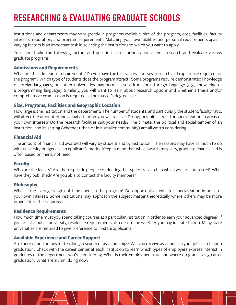# **RESEARCHING & EVALUATING GRADUATE SCHOOLS**

Institutions and departments may vary greatly in programs available, size of the program, cost, facilities, faculty interests, reputation, and program requirements. Matching your own abilities and personal requirements against varying factors is an important task in selecting the institutions to which you want to apply.

You should take the following factors and questions into consideration as you research and evaluate various graduate programs:

#### **Admissions and Requirements**

What are the admissions requirements? Do you have the test scores, courses, research and experience required for the program? Which type of students does the program attract? Some programs require demonstrated knowledge of foreign languages, but other universities may permit a substitute for a foreign language (e.g., knowledge of a programming language). Similarly, you will want to learn about research options and whether a thesis and/or comprehensive examination is required at the master's degree level.

#### **Size, Programs, Facilities and Geographic Location**

How large is the institution and the department? The number of students, and particularly the student/faculty ratio, will affect the amount of individual attention you will receive. Do opportunities exist for specialization in areas of your own interest? Do the research facilities suit your needs? The climate, the political and social temper of an institution, and its setting (whether urban or in a smaller community) are all worth considering.

#### **Financial Aid**

The amount of financial aid awarded will vary by student and by institution. The reasons may have as much to do with university budgets as an applicant's merits. Keep in mind that while awards may vary, graduate financial aid is often based on merit, not need.

#### **Faculty**

Who are the faculty? Are there specific people conducting the type of research in which you are interested? What have they published? Are you able to contact the faculty members?

#### **Philosophy**

What is the average length of time spent in the program? Do opportunities exist for specialization in areas of your own interest? Some institutions may approach the subject matter theoretically where others may be more pragmatic in their approach.

#### **Residence Requirements**

How much time must you spend taking courses at a particular institution in order to earn your advanced degree? If you are at a public university, residence requirements also determine whether you pay in-state tuition. Many state universities are required to give preference to in-state applicants.

#### **Available Experience and Career Support**

Are there opportunities for teaching, research or assistantships? Will you receive assistance in your job search upon graduation? Check with the career center at each institution to learn which types of employers express interest in graduates of the department you're considering. What is their employment rate and where do graduates go after graduation? What are alumni doing now?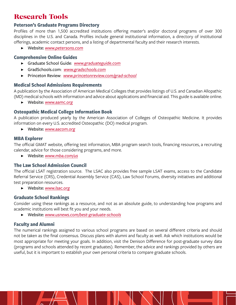## Research Tools

#### **Peterson's Graduate Programs Directory**

Profiles of more than 1,500 accredited institutions offering master's and/or doctoral programs of over 300 disciplines in the U.S. and Canada. Profiles include general institutional information, a directory of institutional offerings, academic contact persons, and a listing of departmental faculty and their research interests.

▶ Website: *[www.petersons.com](http://www.petersons.com)*

#### **Comprehensive Online Guides**

- ▶ Graduate School Guide: *[www.graduateguide.com](http://www.graduateguide.com)*
- ▶ GradSchools.com: *[www.gradschools.com](http://www.gradschools.com)*
- ▶ Princeton Review: *[www.princetonreview.com/grad-school](http://www.princetonreview.com/grad-school)*

#### **Medical School Admissions Requirements**

A publication by the Association of American Medical Colleges that provides listings of U.S. and Canadian Allopathic (MD) medical schools with information and advice about applications and financial aid. This guide is available online.

▶ Website: *[www.aamc.org](http://www.aamc.org)*

#### **Osteopathic Medical College Information Book**

A publication produced yearly by the American Association of Colleges of Osteopathic Medicine. It provides information on every U.S. accredited Osteopathic (DO) medical program.

▶ Website: *[www.aacom.org](http://www.aacom.org)*

#### **MBA Explorer**

The official GMAT website, offering test information, MBA program search tools, financing resources, a recruiting calendar, advice for those considering programs, and more.

▶ Website: *[www.mba.com/us](http://www.mba.com/us)*

#### **The Law School Admission Council**

The official LSAT registration source. The LSAC also provides free sample LSAT exams, access to the Candidate Referral Service (CRS), Credential Assembly Service (CAS), Law School Forums, diversity initiatives and additional test preparation resources.

▶ Website: *[www.lsac.org](http://www.lsac.org)*

#### **Graduate School Rankings**

Consider using these rankings as a resource, and not as an absolute guide, to understanding how programs and academic institutions will best fit you and your needs.

▶ Website: *[www.usnews.com/best-graduate-schools](http://www.usnews.com/best-graduate-schools)*

#### **Faculty and Alumni**

The numerical rankings assigned to various school programs are based on several different criteria and should not be taken as the final consensus. Discuss plans with alumni and faculty as well. Ask which institutions would be most appropriate for meeting your goals. In addition, visit the Denison Difference for post-graduate survey data (programs and schools attended by recent graduates). Remember, the advice and rankings provided by others are useful, but it is important to establish your own personal criteria to compare graduate schools.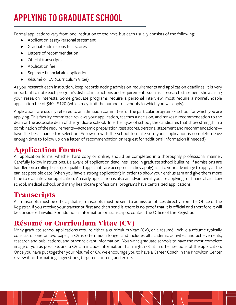# **APPLYING TO GRADUATE SCHOOL**

Formal applications vary from one institution to the next, but each usually consists of the following:

- Application essay/Personal statement
- ▶ Graduate admissions test scores
- ▶ Letters of recommendation
- ▶ Official transcripts
- ▶ Application fee
- Separate financial aid application
- ▶ Résumé or CV (Curriculum Vitae)

As you research each institution, keep records noting admission requirements and application deadlines. It is very important to note each program's distinct instructions and requirements such as a research statement showcasing your research interests. Some graduate programs require a personal interview; most require a nonrefundable application fee of \$40 - \$120 (which may limit the number of schools to which you will apply).

Applications are usually referred to an admission committee for the particular program or school for which you are applying. This faculty committee reviews your application, reaches a decision, and makes a recommendation to the dean or the associate dean of the graduate school. In either type of school, the candidates that show strength in a combination of the requirements—academic preparation, test scores, personal statement and recommendations have the best chance for selection. Follow up with the school to make sure your application is complete (leave enough time to follow up on a letter of recommendation or request for additional information if needed).

# Application Forms

All application forms, whether hard copy or online, should be completed in a thoroughly professional manner. Carefully follow instructions. Be aware of application deadlines listed in graduate school bulletins. If admissions are handled on a rolling basis (i.e., qualified applicants are accepted as they apply), it is to your advantage to apply at the earliest possible date (when you have a strong application) in order to show your enthusiasm and give them more time to evaluate your application. An early application is also an advantage if you are applying for financial aid. Law school, medical school, and many healthcare professional programs have centralized applications.

## **Transcripts**

All transcripts must be official; that is, transcripts must be sent to admission offices directly from the Office of the Registrar. If you receive your transcript first and then send it, there is no proof that it is official and therefore it will be considered invalid. For additional information on transcripts, contact the Office of the Registrar.

# Résumé or Curriculum Vitae (CV)

Many graduate school applications require either a curriculum vitae (CV), or a résumé. While a résumé typically consists of one or two pages, a CV is often much longer and includes all academic activities and achievements, research and publications, and other relevant information. You want graduate schools to have the most complete image of you as possible, and a CV can include information that might not fit in other sections of the application. Once you have put together your résumé or CV, we encourage you to have a Career Coach in the Knowlton Center review it for formatting suggestions, targeted content, and errors.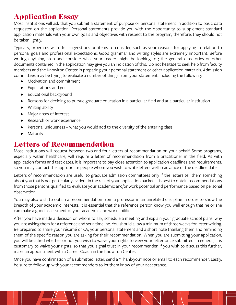# Application Essay

Most institutions will ask that you submit a statement of purpose or personal statement in addition to basic data requested on the application. Personal statements provide you with the opportunity to supplement standard application materials with your own goals and objectives with respect to the program; therefore, they should not be taken lightly.

Typically, programs will offer suggestions on items to consider, such as your reasons for applying in relation to personal goals and professional expectations. Good grammar and writing styles are extremely important. Before writing anything, stop and consider what your reader might be looking for; the general directories or other documents contained in the application may give you an indication of this. Do not hesitate to seek help from faculty members and the Knowlton Center in preparing your personal statement or other application materials. Admission committees may be trying to evaluate a number of things from your statement, including the following:

- ▶ Motivation and commitment
- ▶ Expectations and goals
- ▶ Educational background
- ▶ Reasons for deciding to pursue graduate education in a particular field and at a particular institution
- ▶ Writing ability
- ▶ Major areas of interest
- ▶ Research or work experience
- Personal uniqueness what you would add to the diversity of the entering class
- ▶ Maturity

## Letters of Recommendation

Most institutions will request between two and four letters of recommendation on your behalf. Some programs, especially within healthcare, will require a letter of recommendation from a practitioner in the field. As with application forms and test dates, it is important to pay close attention to application deadlines and requirements, so you may contact the appropriate people whom you wish to write letters well in advance of the deadline date.

Letters of recommendation are useful to graduate admission committees only if the letters tell them something about you that is not particularly evident in the rest of your application packet. It is best to obtain recommendations from those persons qualified to evaluate your academic and/or work potential and performance based on personal observation.

You may also wish to obtain a recommendation from a professor in an unrelated discipline in order to show the breadth of your academic interests. It is essential that the reference person know you well enough that he or she can make a good assessment of your academic and work abilities.

After you have made a decision on whom to ask, schedule a meeting and explain your graduate school plans, why you are asking them for a reference and set a timeline. You should allow a minimum of three weeks for letter writing. Be prepared to share your résumé or CV, your personal statement and a short note thanking them and reminding them of the specific reason you are asking for their recommendation. When you are submitting your application, you will be asked whether or not you wish to waive your rights to view your letter once submitted. In general, it is customary to waive your rights, so that you signal trust in your recommender. If you wish to discuss this further, make an appointment with a Career Coach in the Knowlton Center.

Once you have confirmation of a submitted letter, send a "Thank-you" note or email to each recommender. Lastly, be sure to follow up with your recommenders to let them know of your acceptance.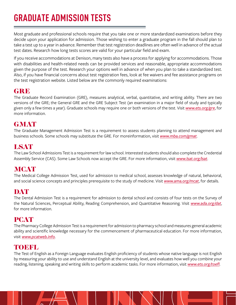# **GRADUATE ADMISSION TESTS**

Most graduate and professional schools require that you take one or more standardized examinations before they decide upon your application for admission. Those wishing to enter a graduate program in the fall should plan to take a test up to a year in advance. Remember that test registration deadlines are often well in advance of the actual test dates. Research how long tests scores are valid for your particular field and exam.

If you receive accommodations at Denison, many tests also have a process for applying for accommodations. Those with disabilities and health-related needs can be provided services and reasonable, appropriate accommodations given the purpose of the test. Research your options well in advance of when you plan to take a standardized test. Also, if you have financial concerns about test registration fees, look at fee waivers and fee assistance programs on the test registration website. Listed below are the commonly required examinations:

## **GRE**

The Graduate Record Examination (GRE), measures analytical, verbal, quantitative, and writing ability. There are two versions of the GRE; the General GRE and the GRE Subject Test (an examination in a major field of study and typically given only a few times a year). Graduate schools may require one or both versions of the test. Visit *[www.ets.org/gre](http://www.ets.org/gre)*, for more information.

## **GMAT**

The Graduate Management Admission Test is a requirement to assess students planning to attend management and business schools. Some schools may substitute the GRE. For moreinformation, visit *[www.mba.com/gmat](http://www.mba.com/gmat)*.

## LSAT

The Law School Admissions Test is a requirement for law school. Interested students should also complete the Credential Assembly Service (CAS). Some Law Schools now accept the GRE. For more information, visit *[www.lsat.org/lsat](http://www.lsat.org/lsat)*.

## **MCAT**

The Medical College Admission Test, used for admission to medical school, assesses knowledge of natural, behavioral, and social science concepts and principles prerequisite to the study of medicine. Visit *[www.ama.org/mcat](http://www.aamc.org/mcat)*, for details.

## DAT

The Dental Admission Test is a requirement for admission to dental school and consists of four tests on the Survey of the Natural Sciences, Perceptual Ability, Reading Comprehension, and Quantitative Reasoning. Visit *[www.ada.org/dat](http://www.ada.org/dat)*, for more information.

#### PCAT

The Pharmacy College Admission Test is a requirement for admission to pharmacy school and measures general academic ability and scientific knowledge necessary for the commencement of pharmaceutical education. For more information, visit *[www.pcatweb.info](http://www.pcatweb.info)*.

#### TOEFL

The Test of English as a Foreign Language evaluates English proficiency of students whose native language is not English by measuring your ability to use and understand English at the university level, and evaluates how well you combine your reading, listening, speaking and writing skills to perform academic tasks. For more information, visit *[www.ets.org/toefl](http://www.ets.org/toefl)*.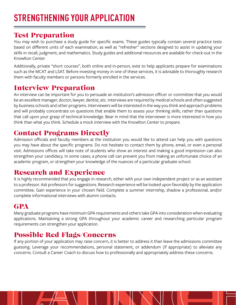# Test Preparation

You may wish to purchase a study guide for specific exams. These guides typically contain several practice tests based on different units of each examination, as well as "refresher" sections designed to assist in updating your skills in recall, judgment, and mathematics. Study guides and additional resources are available for check-out in the Knowlton Center.

Additionally, private "short courses", both online and in-person, exist to help applicants prepare for examinations such as the MCAT and LSAT. Before investing money in one of these services, it is advisable to thoroughly research them with faculty members or persons formerly enrolled in the services.

## Interview Preparation

An interview can be important for you to persuade an institution's admission officer or committee that you would be an excellent manager, doctor, lawyer, dentist, etc. Interviews are required by medical schools and often suggested by business schools and other programs. Interviewers will be interested in the way you think and approach problems and will probably concentrate on questions that enable them to assess your thinking skills, rather than questions that call upon your grasp of technical knowledge. Bear in mind that the interviewer is more interested in how you think than what you think. Schedule a mock interview with the Knowlton Center to prepare.

# Contact Programs Directly

Admission officials and faculty members at the institution you would like to attend can help you with questions you may have about the specific programs. Do not hesitate to contact them by phone, email, or even a personal visit. Admissions offices will take note of students who show an interest and making a good impression can also strengthen your candidacy. In some cases, a phone call can prevent you from making an unfortunate choice of an academic program, or strengthen your knowledge of the nuances of a particular graduate school.

# Research and Experience

It is highly recommended that you engage in research, either with your own independent project or as an assistant to a professor. Ask professors for suggestions. Research experience will be looked upon favorably by the application committee. Gain experience in your chosen field. Complete a summer internship, shadow a professional, and/or complete informational interviews with alumni contacts.

# GPA

Many graduate programs have minimum GPA requirements and others take GPA into consideration when evaluating applications. Maintaining a strong GPA throughout your academic career and researching particular program requirements can strengthen your application.

# Possible Red Flags/Concerns

If any portion of your application may raise concern, it is better to address it than leave the admissions committee guessing. Leverage your recommendations, personal statement, or addendum (if appropriate) to alleviate any concerns. Consult a Career Coach to discuss how to professionally and appropriately address these concerns.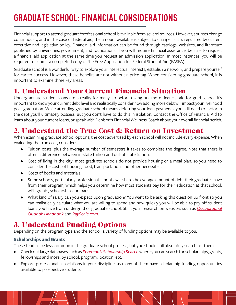# **GRADUATE SCHOOL: FINANCIAL CONSIDERATIONS**

Financial support to attend graduate/professional school is available from several sources. However, sources change continuously, and in the case of federal aid, the amount available is subject to change as it is regulated by current executive and legislative policy. Financial aid information can be found through catalogs, websites, and literature published by universities, government, and foundations. If you will require financial assistance, be sure to request a financial aid application at the same time you request an admission application. In most instances, you will be required to submit a completed copy of the Free Application for Federal Student Aid (FASFA).

Graduate school is a wonderful way to explore your intellectual interests, establish a network, and prepare yourself for career success. However, these benefits are not without a price tag. When considering graduate school, it is important to examine three key areas.

# 1. Understand Your Current Financial Situation

Undergraduate student loans are a reality for many, so before taking out more financial aid for grad school, it's important to know your current debt level and realistically consider how adding more debt will impact your livelihood post-graduation. While attending graduate school means deferring your loan payments, you still need to factor in the debt you'll ultimately possess. But you don't have to do this in isolation. Contact the Office of Financial Aid to learn about your current loans, or speak with Denison's Financial Wellness Coach about your overall financial health.

# 2. Understand the True Cost & Return on Investment

When examining graduate school options, the cost advertised by each school will not include every expense. When evaluating the true cost, consider:

- ▶ Tuition costs, plus the average number of semesters it takes to complete the degree. Note that there is often a difference between in-state tuition and out-of-state tuition.
- ▶ Cost of living in the city: most graduate schools do not provide housing or a meal plan, so you need to consider the costs of housing, food, transportation, and other necessities.
- ▶ Costs of books and materials.
- ▶ Some schools, particularly professional schools, will share the average amount of debt their graduates have from their program, which helps you determine how most students pay for their education at that school, with grants, scholarships, or loans.
- ▶ What kind of salary can you expect upon graduation? You want to be asking this question up front so you can realistically calculate what you are willing to spend and how quickly you will be able to pay off student loans you have from undergrad or graduate school. Start your research on websites such as *[Occupational](https://www.bls.gov/ooh/) [Outlook Handbook](https://www.bls.gov/ooh/)* and *[PayScale.com](https://www.payscale.com/)*.

# 3. Understand Funding Options

Depending on the program type and the school, a variety of funding options may be available to you.

#### **Scholarships and Grants**

These tend to be less common in the graduate school process, but you should still absolutely search for them.

- ▶ Check out large databases such as *[Peterson's Scholarship Search](https://www.petersons.com/scholarship-search.aspx)* where you can search for scholarships, grants, fellowships and more, by school, program, location, etc.
- Explore professional associations in your discipline, as many of them have scholarship funding opportunities available to prospective students.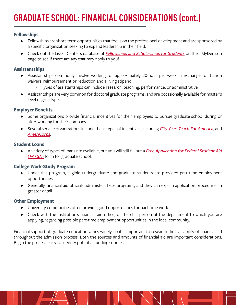#### **Fellowships**

- ▶ Fellowships are short-term opportunities that focus on the professional development and are sponsored by a specific organization seeking to expand leadership in their field.
- ▶ Check out the Lisska Center's database of *[Fellowships and Scholarships for Students](https://my.denison.edu/campus-resources/lisska-center-for-scholarly-engagement-formerly-the-gilpatrick-center/scholarships-and-fellowships)* on their MyDenison page to see if there are any that may apply to you!

#### **Assistantships**

- ▶ Assistantships commonly involve working for approximately 20-hour per week in exchange for tuition waivers, reimbursement or reduction and a living stipend.
	- ▷ Types of assistantships can include research, teaching, performance, or administrative.
- ▶ Assistantships are very common for doctoral graduate programs, and are occasionally available for master's level degree types.

#### **Employer Benefits**

- ▶ Some organizations provide financial incentives for their employees to pursue graduate school during or after working for their company.
- ▶ Several service organizations include these types of incentives, including *[City Year](https://www.cityyear.org/experience/benefits-resources/)*, *[Teach For America](https://www.teachforamerica.org/life-in-the-corps/salary-and-benefits)*, and *[AmeriCorps](https://www.nationalservice.gov/grants-funding/funding-resources)*.

#### **Student Loans**

▶ A variety of types of loans are available, but you will still fill out a *[Free Application for Federal Student Aid](https://studentaid.gov/) [\(FAFSA\)](https://studentaid.gov/)* form for graduate school.

#### **College Work-Study Program**

- ▶ Under this program, eligible undergraduate and graduate students are provided part-time employment opportunities.
- ▶ Generally, financial aid officials administer these programs, and they can explain application procedures in greater detail.

#### **Other Employment**

- ▶ University communities often provide good opportunities for part-time work.
- ▶ Check with the institution's financial aid office, or the chairperson of the department to which you are applying, regarding possible part-time employment opportunities in the local community.

Financial support of graduate education varies widely, so it is important to research the availability of financial aid throughout the admission process. Both the sources and amounts of financial aid are important considerations. Begin the process early to identify potential funding sources.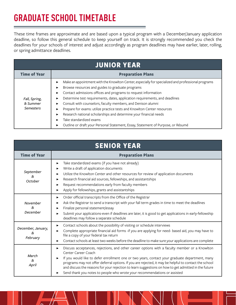# **GRADUATE SCHOOL TIMETABLE**

These time frames are approximate and are based upon a typical program with a December/January application deadline, so follow this general schedule to keep yourself on track. It is strongly recommended you check the deadlines for your schools of interest and adjust accordingly as program deadlines may have earlier, later, rolling, or spring admittance deadlines.

| <b>JUNIOR YEAR</b>                            |                                                                                                                                                                                                                                                                                                                                                                                                                                                                                                                                                                                                                                                                                     |  |  |  |  |  |  |
|-----------------------------------------------|-------------------------------------------------------------------------------------------------------------------------------------------------------------------------------------------------------------------------------------------------------------------------------------------------------------------------------------------------------------------------------------------------------------------------------------------------------------------------------------------------------------------------------------------------------------------------------------------------------------------------------------------------------------------------------------|--|--|--|--|--|--|
| <b>Time of Year</b>                           | <b>Preparation Plans</b>                                                                                                                                                                                                                                                                                                                                                                                                                                                                                                                                                                                                                                                            |  |  |  |  |  |  |
| Fall, Spring,<br>& Summer<br><b>Semesters</b> | Make an appointment with the Knowlton Center, especially for specialized and professional programs<br>▶<br>Browse resources and guides to graduate programs<br>▶<br>Contact admissions offices and programs to request information<br>▶<br>Determine test requirements, dates, application requirements, and deadlines<br>▶<br>Consult with counselors, faculty members, and Denison alumni<br>▶<br>Prepare for exams: utilize practice tests and Knowlton Center resources<br>▶<br>Research national scholarships and determine your financial needs<br>▶<br>Take standardized exams<br>▶<br>Outline or draft your Personal Statement, Essay, Statement of Purpose, or Résumé<br>▶ |  |  |  |  |  |  |

| <b>SENIOR YEAR</b>                   |                                                                                                                                                                                                                                                                                                                                                                                                                                                                                                                                |  |  |  |  |  |
|--------------------------------------|--------------------------------------------------------------------------------------------------------------------------------------------------------------------------------------------------------------------------------------------------------------------------------------------------------------------------------------------------------------------------------------------------------------------------------------------------------------------------------------------------------------------------------|--|--|--|--|--|
| <b>Time of Year</b>                  | <b>Preparation Plans</b>                                                                                                                                                                                                                                                                                                                                                                                                                                                                                                       |  |  |  |  |  |
| September<br>&<br>October            | Take standardized exams (if you have not already)<br>▶<br>Write a draft of application documents<br>▶<br>Utilize the Knowlton Center and other resources for review of application documents<br>▶<br>Research financial aid sources, fellowships, and assistantships<br>▶<br>Request recommendations early from faculty members<br>▶<br>Apply for fellowships, grants and assistantships<br>▶                                                                                                                                  |  |  |  |  |  |
| November<br>&.<br>December           | Order official transcripts from the Office of the Registrar<br>▶<br>Ask the Registrar to send a transcript with your fall term grades in time to meet the deadlines<br>▶<br>Finalize personal statement/essay<br>Submit your applications-even if deadlines are later, it is good to get applications in early-fellowship<br>▶<br>deadlines may follow a separate schedule                                                                                                                                                     |  |  |  |  |  |
| December, January,<br>&.<br>February | Contact schools about the possibility of visiting or schedule interviews<br>▶<br>Complete appropriate financial aid forms -if you are applying for need- based aid, you may have to<br>▶<br>file a copy of your federal tax return<br>Contact schools at least two weeks before the deadline to make sure your applications are complete<br>▶                                                                                                                                                                                  |  |  |  |  |  |
| March<br>&<br>April                  | Discuss acceptances, rejections, and other career options with a faculty member or a Knowlton<br>▶<br>Center Career Coach<br>If you would like to defer enrollment one or two years, contact your graduate department, many<br>▶<br>programs may not offer deferral options. If you are rejected, it may be helpful to contact the school<br>and discuss the reasons for your rejection to learn suggestions on how to get admitted in the future<br>Send thank you notes to people who wrote your recommendations or assisted |  |  |  |  |  |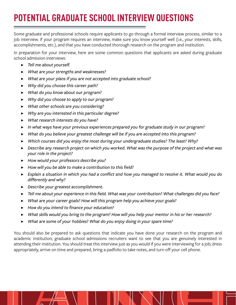# **POTENTIAL GRADUATE SCHOOL INTERVIEW QUESTIONS**

Some graduate and professional schools require applicants to go through a formal interview process, similar to a job interview. If your program requires an interview, make sure you know yourself well (i.e., your interests, skills, accomplishments, etc.), and that you have conducted thorough research on the program and institution.

In preparation for your interview, here are some common questions that applicants are asked during graduate school admission interviews:

- ▶ *Tell me about yourself.*
- ▶ *What are your strengths and weaknesses?*
- ▶ *What are your plans if you are not accepted into graduate school?*
- ▶ *Why did you choose this career path?*
- ▶ *What do you know about our program?*
- ▶ *Why did you choose to apply to our program?*
- ▶ *What other schools are you considering?*
- ▶ *Why are you interested in this particular degree?*
- ▶ *What research interests do you have?*
- ▶ *In what ways have your previous experiences prepared you for graduate study in our program?*
- ▶ *What do you believe your greatest challenge will be if you are accepted into this program?*
- ▶ *Which courses did you enjoy the most during your undergraduate studies? The least? Why?*
- ▶ *Describe any research project on which you worked. What was the purpose of the project and what was your role in the project?*
- ▶ *How would your professors describe you?*
- ▶ *How will you be able to make a contribution to this field?*
- ▶ *Explain a situation in which you had a conflict and how you managed to resolve it. What would you do differently and why?*
- ▶ *Describe your greatest accomplishment.*
- ▶ *Tell me about your experience in this field. What was your contribution? What challenges did you face?*
- ▶ *What are your career goals? How will this program help you achieve your goals?*
- ▶ *How do you intend to finance your education?*
- ▶ *What skills would you bring to the program? How will you help your mentor in his or her research?*
- ▶ *What are some of your hobbies? What do you enjoy doing in your spare time?*

You should also be prepared to ask questions that indicate you have done your research on the program and academic institution; graduate school admissions recruiters want to see that you are genuinely interested in attending their institution. You should treat this interview just as you would if you were interviewing for a job; dress appropriately, arrive on time and prepared, bring a padfolio to take notes, and turn off your cell phone.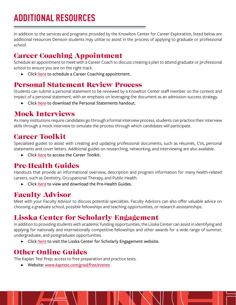In addition to the services and programs provided by the Knowlton Center for Career Exploration, listed below are additional resources Denison students may utilize to assist in the process of applying to graduate or professional school.

# Career Coaching Appointment

Schedule an appointment to meet with a Career Coach to discuss creating a plan to attend graduate or professional school to ensure you are on the right track.

▶ Click *[here](https://denison.joinhandshake.com/appointments)* to schedule a Career Coaching appointment.

# Personal Statement Review Process

Students can submit a personal statement to be reviewed by a Knowlton Center staff member on the content and impact of a personal statement, with an emphasis on leveraging the document as an admission success strategy.

▶ Click *[here](https://denison.co1.qualtrics.com/WRQualtricsControlPanel_rel/File.php?F=F_414lov0ZO45dcqh)* to download the Personal Statements handout.

# Mock Interviews

As many institutions require candidates go through a formal interview process, students can practice their interview skills through a mock interview to simulate the process through which candidates will participate.

# Career Toolkit

Specialized guides to assist with creating and updating professional documents, such as résumés, CVs, personal statements and cover letters. Additional guides on researching, networking, and interviewing are also available.

▶ Click *[here](https://denison.edu/campus/career/preparation-toolkit)* to access the Career Toolkit.

# Pre-Health Guides

Handouts that provide an informational overview, description and program information for many health-related careers, such as Dentistry, Occupational Therapy, and Public Health.

▶ Click *[here](https://denison.edu/campus/career/preparation-toolkit)* to view and download the Pre-Health Guides.

# Faculty Advisor

Meet with your Faculty Advisor to discuss potential specialties. Faculty Advisors can also offer valuable advice on choosing a graduate school, possible fellowships and teaching opportunities, or research assistantships.

# Lisska Center for Scholarly Engagement

In addition to providing students with academic funding opportunities, the Lisska Center can assist in identifying and applying for nationally and internationally competitive fellowships and other awards for a wide range of summer, undergraduate, and postgraduate opportunities.

▶ Click *[here](https://denison.edu/academics/research)* to visit the Lisska Center for Scholarly Engagement website.

# Other Online Guides

The Kaplan Test Prep: access to free preparation and practice tests.

▶ Website: *[www.kaptest.com/grad/free/events](http://www.kaptest.com/grad/free/events)*